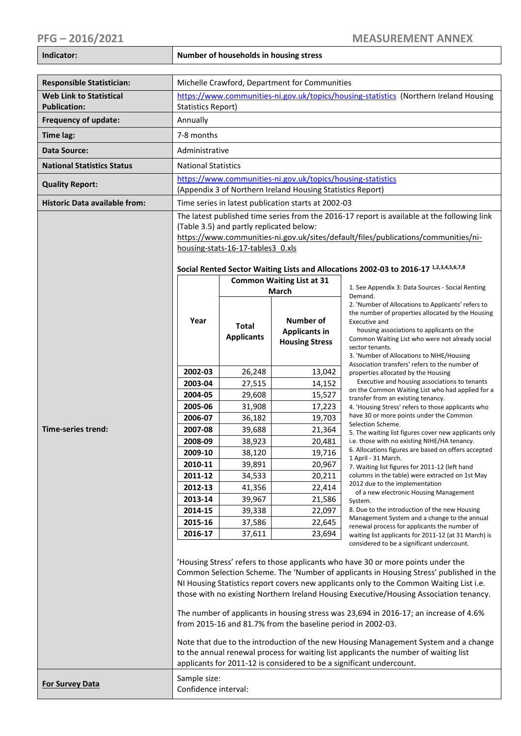**Indicator: Number of households in housing stress** 

| <b>Responsible Statistician:</b>                      | Michelle Crawford, Department for Communities                                                                                                                                                                                                       |                                                                                        |                                               |                                                                                                                            |  |  |
|-------------------------------------------------------|-----------------------------------------------------------------------------------------------------------------------------------------------------------------------------------------------------------------------------------------------------|----------------------------------------------------------------------------------------|-----------------------------------------------|----------------------------------------------------------------------------------------------------------------------------|--|--|
| <b>Web Link to Statistical</b><br><b>Publication:</b> | https://www.communities-ni.gov.uk/topics/housing-statistics (Northern Ireland Housing<br><b>Statistics Report)</b>                                                                                                                                  |                                                                                        |                                               |                                                                                                                            |  |  |
| Frequency of update:                                  | Annually                                                                                                                                                                                                                                            |                                                                                        |                                               |                                                                                                                            |  |  |
| Time lag:                                             | 7-8 months                                                                                                                                                                                                                                          |                                                                                        |                                               |                                                                                                                            |  |  |
| <b>Data Source:</b>                                   | Administrative                                                                                                                                                                                                                                      |                                                                                        |                                               |                                                                                                                            |  |  |
| <b>National Statistics Status</b>                     |                                                                                                                                                                                                                                                     |                                                                                        |                                               |                                                                                                                            |  |  |
|                                                       | <b>National Statistics</b>                                                                                                                                                                                                                          |                                                                                        |                                               |                                                                                                                            |  |  |
| <b>Quality Report:</b>                                | https://www.communities-ni.gov.uk/topics/housing-statistics<br>(Appendix 3 of Northern Ireland Housing Statistics Report)                                                                                                                           |                                                                                        |                                               |                                                                                                                            |  |  |
| <b>Historic Data available from:</b>                  |                                                                                                                                                                                                                                                     |                                                                                        |                                               |                                                                                                                            |  |  |
|                                                       | Time series in latest publication starts at 2002-03                                                                                                                                                                                                 |                                                                                        |                                               |                                                                                                                            |  |  |
|                                                       | The latest published time series from the 2016-17 report is available at the following link<br>(Table 3.5) and partly replicated below:                                                                                                             |                                                                                        |                                               |                                                                                                                            |  |  |
|                                                       | https://www.communities-ni.gov.uk/sites/default/files/publications/communities/ni-                                                                                                                                                                  |                                                                                        |                                               |                                                                                                                            |  |  |
|                                                       | housing-stats-16-17-tables3 0.xls                                                                                                                                                                                                                   |                                                                                        |                                               |                                                                                                                            |  |  |
|                                                       |                                                                                                                                                                                                                                                     |                                                                                        |                                               |                                                                                                                            |  |  |
|                                                       | Social Rented Sector Waiting Lists and Allocations 2002-03 to 2016-17 1,2,3,4,5,6,7,8                                                                                                                                                               |                                                                                        |                                               |                                                                                                                            |  |  |
|                                                       | Year                                                                                                                                                                                                                                                |                                                                                        | <b>Common Waiting List at 31</b>              | 1. See Appendix 3: Data Sources - Social Renting                                                                           |  |  |
|                                                       |                                                                                                                                                                                                                                                     | <b>March</b>                                                                           |                                               | Demand.                                                                                                                    |  |  |
|                                                       |                                                                                                                                                                                                                                                     |                                                                                        |                                               | 2. 'Number of Allocations to Applicants' refers to<br>the number of properties allocated by the Housing                    |  |  |
|                                                       |                                                                                                                                                                                                                                                     | Total                                                                                  | Number of                                     | Executive and                                                                                                              |  |  |
| Time-series trend:                                    |                                                                                                                                                                                                                                                     | <b>Applicants</b>                                                                      | <b>Applicants in</b><br><b>Housing Stress</b> | housing associations to applicants on the<br>Common Waiting List who were not already social                               |  |  |
|                                                       |                                                                                                                                                                                                                                                     |                                                                                        |                                               | sector tenants.                                                                                                            |  |  |
|                                                       |                                                                                                                                                                                                                                                     |                                                                                        |                                               | 3. 'Number of Allocations to NIHE/Housing<br>Association transfers' refers to the number of                                |  |  |
|                                                       | 2002-03                                                                                                                                                                                                                                             | 26,248                                                                                 | 13,042                                        | properties allocated by the Housing                                                                                        |  |  |
|                                                       | 2003-04                                                                                                                                                                                                                                             | 27,515                                                                                 | 14,152                                        | Executive and housing associations to tenants<br>on the Common Waiting List who had applied for a                          |  |  |
|                                                       | 2004-05                                                                                                                                                                                                                                             | 29,608                                                                                 | 15,527                                        | transfer from an existing tenancy.                                                                                         |  |  |
|                                                       | 2005-06<br>2006-07                                                                                                                                                                                                                                  | 31,908                                                                                 | 17,223                                        | 4. 'Housing Stress' refers to those applicants who<br>have 30 or more points under the Common                              |  |  |
|                                                       | 2007-08                                                                                                                                                                                                                                             | 36,182<br>39,688                                                                       | 19,703<br>21,364                              | Selection Scheme.<br>5. The waiting list figures cover new applicants only<br>i.e. those with no existing NIHE/HA tenancy. |  |  |
|                                                       | 2008-09                                                                                                                                                                                                                                             | 38,923                                                                                 | 20,481                                        |                                                                                                                            |  |  |
|                                                       | 2009-10                                                                                                                                                                                                                                             | 38,120                                                                                 | 19,716                                        | 6. Allocations figures are based on offers accepted                                                                        |  |  |
|                                                       | 2010-11                                                                                                                                                                                                                                             | 39,891                                                                                 | 20,967                                        | 1 April - 31 March.<br>7. Waiting list figures for 2011-12 (left hand                                                      |  |  |
|                                                       | 2011-12                                                                                                                                                                                                                                             | 34,533                                                                                 | 20,211                                        | columns in the table) were extracted on 1st May                                                                            |  |  |
|                                                       | 2012-13                                                                                                                                                                                                                                             | 41,356                                                                                 | 22,414                                        | 2012 due to the implementation<br>of a new electronic Housing Management                                                   |  |  |
|                                                       | 2013-14                                                                                                                                                                                                                                             | 39,967                                                                                 | 21,586                                        | System.                                                                                                                    |  |  |
|                                                       | 2014-15                                                                                                                                                                                                                                             | 39,338                                                                                 | 22,097                                        | 8. Due to the introduction of the new Housing<br>Management System and a change to the annual                              |  |  |
|                                                       | 2015-16                                                                                                                                                                                                                                             | 37,586                                                                                 | 22,645                                        | renewal process for applicants the number of                                                                               |  |  |
|                                                       | 2016-17                                                                                                                                                                                                                                             | 37,611                                                                                 | 23,694                                        | waiting list applicants for 2011-12 (at 31 March) is<br>considered to be a significant undercount.                         |  |  |
|                                                       |                                                                                                                                                                                                                                                     |                                                                                        |                                               |                                                                                                                            |  |  |
|                                                       | 'Housing Stress' refers to those applicants who have 30 or more points under the                                                                                                                                                                    |                                                                                        |                                               |                                                                                                                            |  |  |
|                                                       |                                                                                                                                                                                                                                                     | Common Selection Scheme. The 'Number of applicants in Housing Stress' published in the |                                               |                                                                                                                            |  |  |
|                                                       | NI Housing Statistics report covers new applicants only to the Common Waiting List i.e.<br>those with no existing Northern Ireland Housing Executive/Housing Association tenancy.                                                                   |                                                                                        |                                               |                                                                                                                            |  |  |
|                                                       |                                                                                                                                                                                                                                                     |                                                                                        |                                               |                                                                                                                            |  |  |
|                                                       | The number of applicants in housing stress was 23,694 in 2016-17; an increase of 4.6%<br>from 2015-16 and 81.7% from the baseline period in 2002-03.                                                                                                |                                                                                        |                                               |                                                                                                                            |  |  |
|                                                       | Note that due to the introduction of the new Housing Management System and a change<br>to the annual renewal process for waiting list applicants the number of waiting list<br>applicants for 2011-12 is considered to be a significant undercount. |                                                                                        |                                               |                                                                                                                            |  |  |
| <b>For Survey Data</b>                                | Sample size:<br>Confidence interval:                                                                                                                                                                                                                |                                                                                        |                                               |                                                                                                                            |  |  |